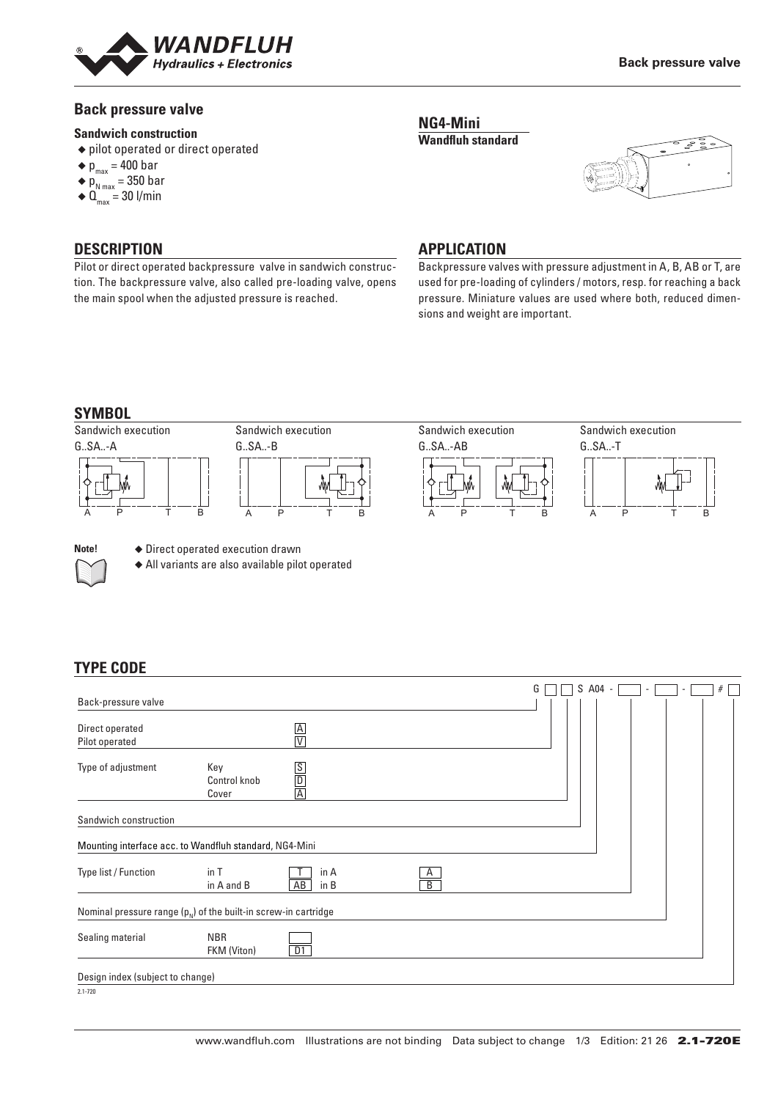

#### **Back pressure valve**

#### **Sandwich construction**

- ◆ pilot operated or direct operated
- $\bullet$  p<sub>max</sub> = 400 bar
- $\blacklozenge$  p<sub>N max</sub> = 350 bar
- $\blacklozenge \mathbf{0}_{\text{max}} = 30 \text{ I/min}$

### **DESCRIPTION**

Pilot or direct operated backpressure valve in sandwich construction. The backpressure valve, also called pre-loading valve, opens the main spool when the adjusted pressure is reached.

#### **NG4-Mini Wandfluh standard**



#### **APPLICATION**

Backpressure valves with pressure adjustment in A, B, AB or T, are used for pre-loading of cylinders / motors, resp. for reaching a back pressure. Miniature values are used where both, reduced dimensions and weight are important.

#### **SYMBOL**





**Note! ◆ Direct operated execution drawn** 

◆ All variants are also available pilot operated

# **TYPE CODE**

|                                                                     |                              |                    |                                | G | S A04 - | $\overline{\phantom{a}}$ | $\overline{\phantom{a}}$ | # |
|---------------------------------------------------------------------|------------------------------|--------------------|--------------------------------|---|---------|--------------------------|--------------------------|---|
| Back-pressure valve                                                 |                              |                    |                                |   |         |                          |                          |   |
| Direct operated<br>Pilot operated                                   |                              | $\frac{A}{V}$      |                                |   |         |                          |                          |   |
| Type of adjustment                                                  | Key<br>Control knob<br>Cover | $\frac{S}{D}$      |                                |   |         |                          |                          |   |
| Sandwich construction                                               |                              |                    |                                |   |         |                          |                          |   |
| Mounting interface acc. to Wandfluh standard, NG4-Mini              |                              |                    |                                |   |         |                          |                          |   |
| Type list / Function                                                | in T<br>in A and B           | in A<br>AB<br>in B | $\mathsf{A}$<br>$\overline{B}$ |   |         |                          |                          |   |
| Nominal pressure range $(p_{N})$ of the built-in screw-in cartridge |                              |                    |                                |   |         |                          |                          |   |
| Sealing material                                                    | <b>NBR</b><br>FKM (Viton)    | D1                 |                                |   |         |                          |                          |   |
| Design index (subject to change)                                    |                              |                    |                                |   |         |                          |                          |   |
| 0.1.700                                                             |                              |                    |                                |   |         |                          |                          |   |

2.1-720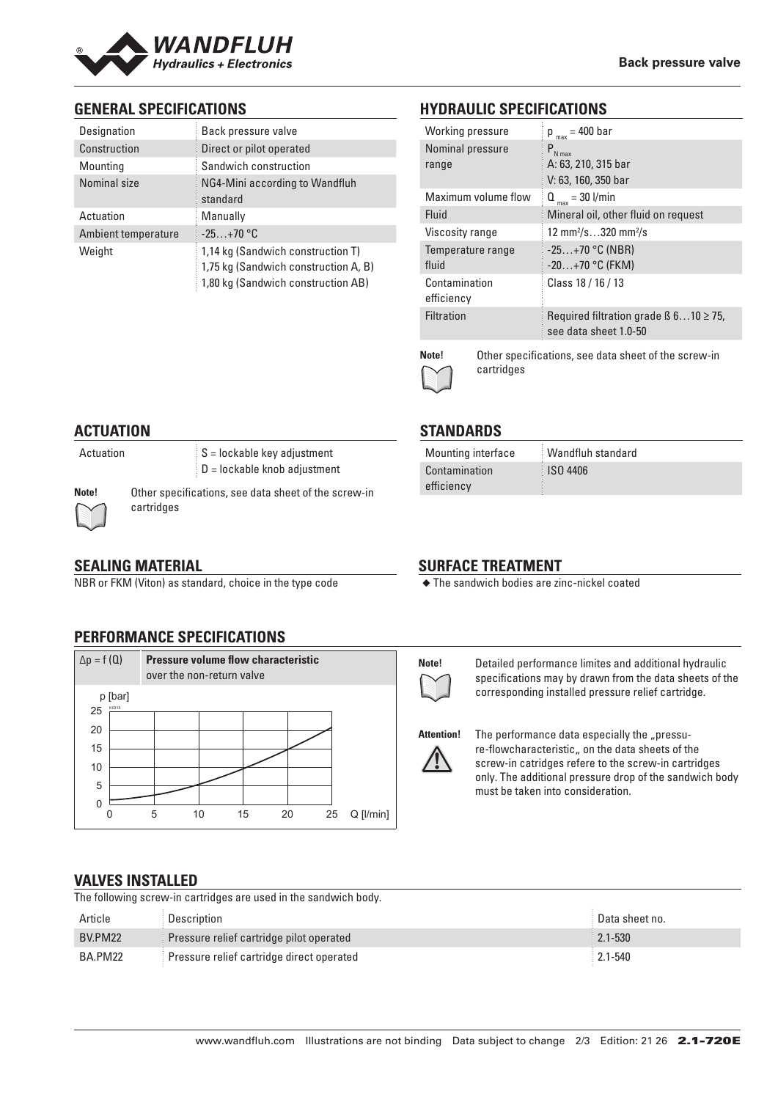

# **GENERAL SPECIFICATIONS**

| Designation         | Back pressure valve                                                                                             |
|---------------------|-----------------------------------------------------------------------------------------------------------------|
| Construction        | Direct or pilot operated                                                                                        |
| Mounting            | Sandwich construction                                                                                           |
| Nominal size        | NG4-Mini according to Wandfluh<br>standard                                                                      |
| Actuation           | Manually                                                                                                        |
| Ambient temperature | $-25+70$ °C                                                                                                     |
| Weight              | 1,14 kg (Sandwich construction T)<br>1,75 kg (Sandwich construction A, B)<br>1,80 kg (Sandwich construction AB) |

# **HYDRAULIC SPECIFICATIONS**

| Working pressure            | $p_{max} = 400$ bar                                                       |
|-----------------------------|---------------------------------------------------------------------------|
| Nominal pressure<br>range   | $P_{N \max}$<br>A: 63, 210, 315 bar                                       |
|                             | V: 63, 160, 350 bar                                                       |
| Maximum volume flow         | $Q_{max}$ = 30 l/min                                                      |
| Fluid                       | Mineral oil, other fluid on request                                       |
| Viscosity range             | 12 mm <sup>2</sup> /s320 mm <sup>2</sup> /s                               |
| Temperature range           | $-25+70$ °C (NBR)                                                         |
| fluid                       | $-20+70$ °C (FKM)                                                         |
| Contamination<br>efficiency | Class 18 / 16 / 13                                                        |
| <b>Filtration</b>           | Required filtration grade $\beta$ 610 $\geq$ 75,<br>see data sheet 1.0-50 |
|                             |                                                                           |



**STANDARDS**

Contamination efficiency

**Note!** Other specifications, see data sheet of the screw-in cartridges

## **ACTUATION**

Actuation  $S =$  lockable key adjustment D = lockable knob adjustment

**Note!** Other specifications, see data sheet of the screw-in cartridges

# **SEALING MATERIAL**

NBR or FKM (Viton) as standard, choice in the type code

# **PERFORMANCE SPECIFICATIONS**



# **SURFACE TREATMENT**

◆ The sandwich bodies are zinc-nickel coated

Mounting interface Wandfluh standard

ISO 4406



**Note!** Detailed performance limites and additional hydraulic specifications may by drawn from the data sheets of the corresponding installed pressure relief cartridge.



Attention! The performance data especially the "pressure-flowcharacteristic, on the data sheets of the screw-in catridges refere to the screw-in cartridges only. The additional pressure drop of the sandwich body must be taken into consideration.

#### **VALVES INSTALLED**

The following screw-in cartridges are used in the sandwich body.

| Article | Description                               | Data sheet no. |
|---------|-------------------------------------------|----------------|
| BV.PM22 | Pressure relief cartridge pilot operated  | $2.1 - 530$    |
| BA.PM22 | Pressure relief cartridge direct operated | $2.1 - 540$    |